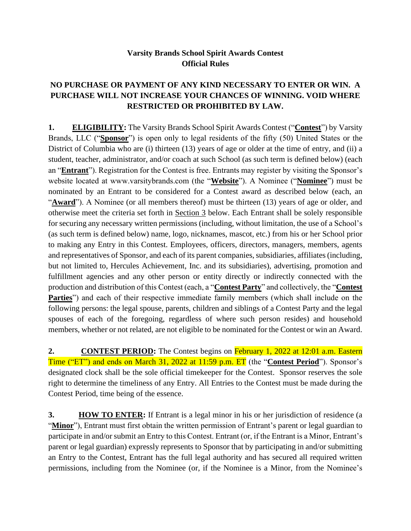## **Varsity Brands School Spirit Awards Contest Official Rules**

## **NO PURCHASE OR PAYMENT OF ANY KIND NECESSARY TO ENTER OR WIN. A PURCHASE WILL NOT INCREASE YOUR CHANCES OF WINNING. VOID WHERE RESTRICTED OR PROHIBITED BY LAW.**

**1. ELIGIBILITY:** The Varsity Brands School Spirit Awards Contest ("**Contest**") by Varsity Brands, LLC ("**Sponsor**") is open only to legal residents of the fifty (50) United States or the District of Columbia who are (i) thirteen (13) years of age or older at the time of entry, and (ii) a student, teacher, administrator, and/or coach at such School (as such term is defined below) (each an "**Entrant**"). Registration for the Contest is free. Entrants may register by visiting the Sponsor's website located at www.varsitybrands.com (the "**Website**"). A Nominee ("**Nominee**") must be nominated by an Entrant to be considered for a Contest award as described below (each, an "**Award**"). A Nominee (or all members thereof) must be thirteen (13) years of age or older, and otherwise meet the criteria set forth in Section 3 below. Each Entrant shall be solely responsible for securing any necessary written permissions (including, without limitation, the use of a School's (as such term is defined below) name, logo, nicknames, mascot, etc.) from his or her School prior to making any Entry in this Contest. Employees, officers, directors, managers, members, agents and representatives of Sponsor, and each of its parent companies, subsidiaries, affiliates (including, but not limited to, Hercules Achievement, Inc. and its subsidiaries), advertising, promotion and fulfillment agencies and any other person or entity directly or indirectly connected with the production and distribution of this Contest (each, a "**Contest Party**" and collectively, the "**Contest Parties**") and each of their respective immediate family members (which shall include on the following persons: the legal spouse, parents, children and siblings of a Contest Party and the legal spouses of each of the foregoing, regardless of where such person resides) and household members, whether or not related, are not eligible to be nominated for the Contest or win an Award.

**2. CONTEST PERIOD:** The Contest begins on February 1, 2022 at 12:01 a.m. Eastern Time ("ET") and ends on March 31, 2022 at 11:59 p.m. ET (the "**Contest Period**"). Sponsor's designated clock shall be the sole official timekeeper for the Contest. Sponsor reserves the sole right to determine the timeliness of any Entry. All Entries to the Contest must be made during the Contest Period, time being of the essence.

**3. HOW TO ENTER:** If Entrant is a legal minor in his or her jurisdiction of residence (a "**Minor**"), Entrant must first obtain the written permission of Entrant's parent or legal guardian to participate in and/or submit an Entry to this Contest. Entrant (or, if the Entrant is a Minor, Entrant's parent or legal guardian) expressly represents to Sponsor that by participating in and/or submitting an Entry to the Contest, Entrant has the full legal authority and has secured all required written permissions, including from the Nominee (or, if the Nominee is a Minor, from the Nominee's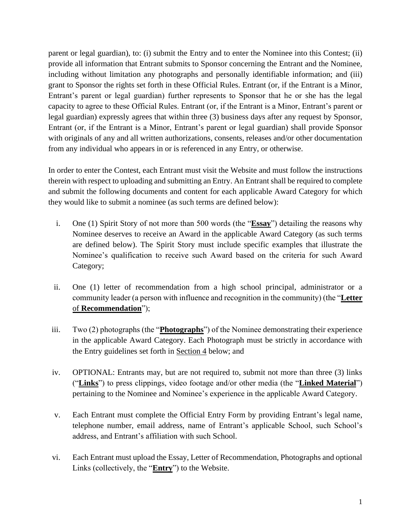parent or legal guardian), to: (i) submit the Entry and to enter the Nominee into this Contest; (ii) provide all information that Entrant submits to Sponsor concerning the Entrant and the Nominee, including without limitation any photographs and personally identifiable information; and (iii) grant to Sponsor the rights set forth in these Official Rules. Entrant (or, if the Entrant is a Minor, Entrant's parent or legal guardian) further represents to Sponsor that he or she has the legal capacity to agree to these Official Rules. Entrant (or, if the Entrant is a Minor, Entrant's parent or legal guardian) expressly agrees that within three (3) business days after any request by Sponsor, Entrant (or, if the Entrant is a Minor, Entrant's parent or legal guardian) shall provide Sponsor with originals of any and all written authorizations, consents, releases and/or other documentation from any individual who appears in or is referenced in any Entry, or otherwise.

In order to enter the Contest, each Entrant must visit the Website and must follow the instructions therein with respect to uploading and submitting an Entry. An Entrant shall be required to complete and submit the following documents and content for each applicable Award Category for which they would like to submit a nominee (as such terms are defined below):

- i. One (1) Spirit Story of not more than 500 words (the "**Essay**") detailing the reasons why Nominee deserves to receive an Award in the applicable Award Category (as such terms are defined below). The Spirit Story must include specific examples that illustrate the Nominee's qualification to receive such Award based on the criteria for such Award Category;
- ii. One (1) letter of recommendation from a high school principal, administrator or a community leader (a person with influence and recognition in the community) (the "**Letter** of **Recommendation**");
- iii. Two (2) photographs (the "**Photographs**") of the Nominee demonstrating their experience in the applicable Award Category. Each Photograph must be strictly in accordance with the Entry guidelines set forth in Section 4 below; and
- iv. OPTIONAL: Entrants may, but are not required to, submit not more than three (3) links ("**Links**") to press clippings, video footage and/or other media (the "**Linked Material**") pertaining to the Nominee and Nominee's experience in the applicable Award Category.
- v. Each Entrant must complete the Official Entry Form by providing Entrant's legal name, telephone number, email address, name of Entrant's applicable School, such School's address, and Entrant's affiliation with such School.
- vi. Each Entrant must upload the Essay, Letter of Recommendation, Photographs and optional Links (collectively, the "**Entry**") to the Website.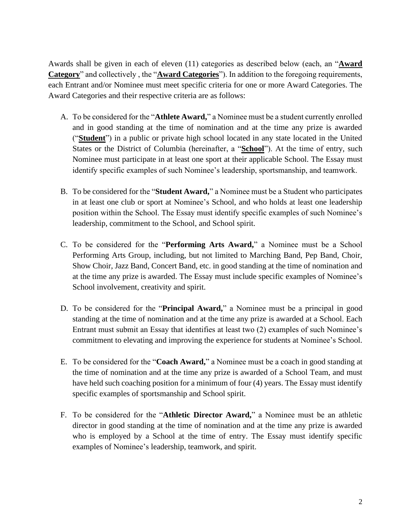Awards shall be given in each of eleven (11) categories as described below (each, an "**Award Category**" and collectively , the "**Award Categories**"). In addition to the foregoing requirements, each Entrant and/or Nominee must meet specific criteria for one or more Award Categories. The Award Categories and their respective criteria are as follows:

- A. To be considered for the "**Athlete Award,**" a Nominee must be a student currently enrolled and in good standing at the time of nomination and at the time any prize is awarded ("**Student**") in a public or private high school located in any state located in the United States or the District of Columbia (hereinafter, a "**School**"). At the time of entry, such Nominee must participate in at least one sport at their applicable School. The Essay must identify specific examples of such Nominee's leadership, sportsmanship, and teamwork.
- B. To be considered for the "**Student Award,**" a Nominee must be a Student who participates in at least one club or sport at Nominee's School, and who holds at least one leadership position within the School. The Essay must identify specific examples of such Nominee's leadership, commitment to the School, and School spirit.
- C. To be considered for the "**Performing Arts Award,**" a Nominee must be a School Performing Arts Group, including, but not limited to Marching Band, Pep Band, Choir, Show Choir, Jazz Band, Concert Band, etc. in good standing at the time of nomination and at the time any prize is awarded. The Essay must include specific examples of Nominee's School involvement, creativity and spirit.
- D. To be considered for the "**Principal Award,**" a Nominee must be a principal in good standing at the time of nomination and at the time any prize is awarded at a School. Each Entrant must submit an Essay that identifies at least two (2) examples of such Nominee's commitment to elevating and improving the experience for students at Nominee's School.
- E. To be considered for the "**Coach Award,**" a Nominee must be a coach in good standing at the time of nomination and at the time any prize is awarded of a School Team, and must have held such coaching position for a minimum of four (4) years. The Essay must identify specific examples of sportsmanship and School spirit.
- F. To be considered for the "**Athletic Director Award,**" a Nominee must be an athletic director in good standing at the time of nomination and at the time any prize is awarded who is employed by a School at the time of entry. The Essay must identify specific examples of Nominee's leadership, teamwork, and spirit.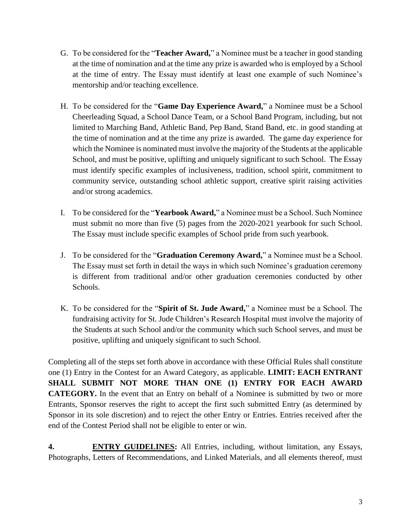- G. To be considered for the "**Teacher Award,**" a Nominee must be a teacher in good standing at the time of nomination and at the time any prize is awarded who is employed by a School at the time of entry. The Essay must identify at least one example of such Nominee's mentorship and/or teaching excellence.
- H. To be considered for the "**Game Day Experience Award,**" a Nominee must be a School Cheerleading Squad, a School Dance Team, or a School Band Program, including, but not limited to Marching Band, Athletic Band, Pep Band, Stand Band, etc. in good standing at the time of nomination and at the time any prize is awarded. The game day experience for which the Nominee is nominated must involve the majority of the Students at the applicable School, and must be positive, uplifting and uniquely significant to such School. The Essay must identify specific examples of inclusiveness, tradition, school spirit, commitment to community service, outstanding school athletic support, creative spirit raising activities and/or strong academics.
- I. To be considered for the "**Yearbook Award,**" a Nominee must be a School. Such Nominee must submit no more than five (5) pages from the 2020-2021 yearbook for such School. The Essay must include specific examples of School pride from such yearbook.
- J. To be considered for the "**Graduation Ceremony Award,**" a Nominee must be a School. The Essay must set forth in detail the ways in which such Nominee's graduation ceremony is different from traditional and/or other graduation ceremonies conducted by other Schools.
- K. To be considered for the "**Spirit of St. Jude Award,**" a Nominee must be a School. The fundraising activity for St. Jude Children's Research Hospital must involve the majority of the Students at such School and/or the community which such School serves, and must be positive, uplifting and uniquely significant to such School.

Completing all of the steps set forth above in accordance with these Official Rules shall constitute one (1) Entry in the Contest for an Award Category, as applicable. **LIMIT: EACH ENTRANT SHALL SUBMIT NOT MORE THAN ONE (1) ENTRY FOR EACH AWARD CATEGORY.** In the event that an Entry on behalf of a Nominee is submitted by two or more Entrants, Sponsor reserves the right to accept the first such submitted Entry (as determined by Sponsor in its sole discretion) and to reject the other Entry or Entries. Entries received after the end of the Contest Period shall not be eligible to enter or win.

**4. ENTRY GUIDELINES:** All Entries, including, without limitation, any Essays, Photographs, Letters of Recommendations, and Linked Materials, and all elements thereof, must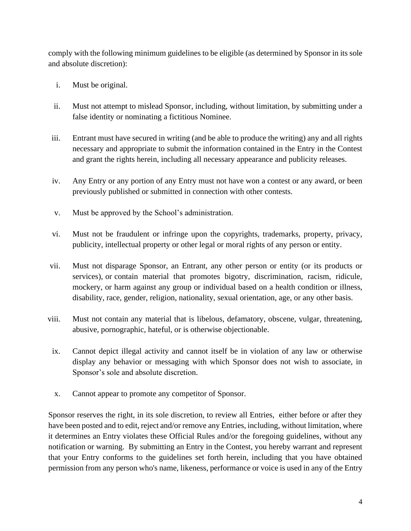comply with the following minimum guidelines to be eligible (as determined by Sponsor in its sole and absolute discretion):

- i. Must be original.
- ii. Must not attempt to mislead Sponsor, including, without limitation, by submitting under a false identity or nominating a fictitious Nominee.
- iii. Entrant must have secured in writing (and be able to produce the writing) any and all rights necessary and appropriate to submit the information contained in the Entry in the Contest and grant the rights herein, including all necessary appearance and publicity releases.
- iv. Any Entry or any portion of any Entry must not have won a contest or any award, or been previously published or submitted in connection with other contests.
- v. Must be approved by the School's administration.
- vi. Must not be fraudulent or infringe upon the copyrights, trademarks, property, privacy, publicity, intellectual property or other legal or moral rights of any person or entity.
- vii. Must not disparage Sponsor, an Entrant, any other person or entity (or its products or services), or contain material that promotes bigotry, discrimination, racism, ridicule, mockery, or harm against any group or individual based on a health condition or illness, disability, race, gender, religion, nationality, sexual orientation, age, or any other basis.
- viii. Must not contain any material that is libelous, defamatory, obscene, vulgar, threatening, abusive, pornographic, hateful, or is otherwise objectionable.
- ix. Cannot depict illegal activity and cannot itself be in violation of any law or otherwise display any behavior or messaging with which Sponsor does not wish to associate, in Sponsor's sole and absolute discretion.
- x. Cannot appear to promote any competitor of Sponsor.

Sponsor reserves the right, in its sole discretion, to review all Entries, either before or after they have been posted and to edit, reject and/or remove any Entries, including, without limitation, where it determines an Entry violates these Official Rules and/or the foregoing guidelines, without any notification or warning. By submitting an Entry in the Contest, you hereby warrant and represent that your Entry conforms to the guidelines set forth herein, including that you have obtained permission from any person who's name, likeness, performance or voice is used in any of the Entry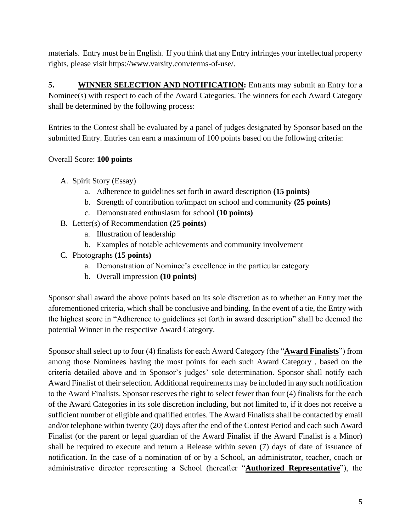materials. Entry must be in English. If you think that any Entry infringes your intellectual property rights, please visit https://www.varsity.com/terms-of-use/.

**5. WINNER SELECTION AND NOTIFICATION:** Entrants may submit an Entry for a Nominee(s) with respect to each of the Award Categories. The winners for each Award Category shall be determined by the following process:

Entries to the Contest shall be evaluated by a panel of judges designated by Sponsor based on the submitted Entry. Entries can earn a maximum of 100 points based on the following criteria:

## Overall Score: **100 points**

- A. Spirit Story (Essay)
	- a. Adherence to guidelines set forth in award description **(15 points)**
	- b. Strength of contribution to/impact on school and community **(25 points)**
	- c. Demonstrated enthusiasm for school **(10 points)**
- B. Letter(s) of Recommendation **(25 points)**
	- a. Illustration of leadership
	- b. Examples of notable achievements and community involvement
- C. Photographs **(15 points)**
	- a. Demonstration of Nominee's excellence in the particular category
	- b. Overall impression **(10 points)**

Sponsor shall award the above points based on its sole discretion as to whether an Entry met the aforementioned criteria, which shall be conclusive and binding. In the event of a tie, the Entry with the highest score in "Adherence to guidelines set forth in award description" shall be deemed the potential Winner in the respective Award Category.

Sponsor shall select up to four (4) finalists for each Award Category (the "**Award Finalists**") from among those Nominees having the most points for each such Award Category , based on the criteria detailed above and in Sponsor's judges' sole determination. Sponsor shall notify each Award Finalist of their selection. Additional requirements may be included in any such notification to the Award Finalists. Sponsor reserves the right to select fewer than four (4) finalists for the each of the Award Categories in its sole discretion including, but not limited to, if it does not receive a sufficient number of eligible and qualified entries. The Award Finalists shall be contacted by email and/or telephone within twenty (20) days after the end of the Contest Period and each such Award Finalist (or the parent or legal guardian of the Award Finalist if the Award Finalist is a Minor) shall be required to execute and return a Release within seven (7) days of date of issuance of notification. In the case of a nomination of or by a School, an administrator, teacher, coach or administrative director representing a School (hereafter "**Authorized Representative**"), the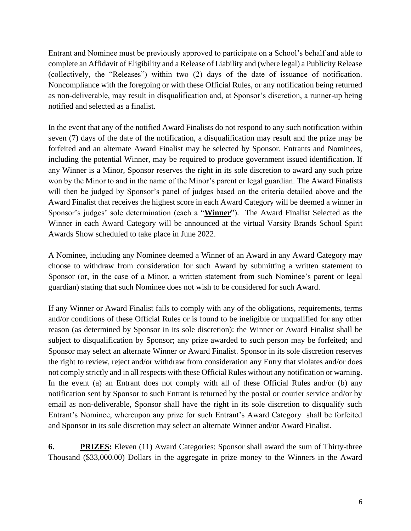Entrant and Nominee must be previously approved to participate on a School's behalf and able to complete an Affidavit of Eligibility and a Release of Liability and (where legal) a Publicity Release (collectively, the "Releases") within two (2) days of the date of issuance of notification. Noncompliance with the foregoing or with these Official Rules, or any notification being returned as non-deliverable, may result in disqualification and, at Sponsor's discretion, a runner-up being notified and selected as a finalist.

In the event that any of the notified Award Finalists do not respond to any such notification within seven (7) days of the date of the notification, a disqualification may result and the prize may be forfeited and an alternate Award Finalist may be selected by Sponsor. Entrants and Nominees, including the potential Winner, may be required to produce government issued identification. If any Winner is a Minor, Sponsor reserves the right in its sole discretion to award any such prize won by the Minor to and in the name of the Minor's parent or legal guardian. The Award Finalists will then be judged by Sponsor's panel of judges based on the criteria detailed above and the Award Finalist that receives the highest score in each Award Category will be deemed a winner in Sponsor's judges' sole determination (each a "**Winner**"). The Award Finalist Selected as the Winner in each Award Category will be announced at the virtual Varsity Brands School Spirit Awards Show scheduled to take place in June 2022.

A Nominee, including any Nominee deemed a Winner of an Award in any Award Category may choose to withdraw from consideration for such Award by submitting a written statement to Sponsor (or, in the case of a Minor, a written statement from such Nominee's parent or legal guardian) stating that such Nominee does not wish to be considered for such Award.

If any Winner or Award Finalist fails to comply with any of the obligations, requirements, terms and/or conditions of these Official Rules or is found to be ineligible or unqualified for any other reason (as determined by Sponsor in its sole discretion): the Winner or Award Finalist shall be subject to disqualification by Sponsor; any prize awarded to such person may be forfeited; and Sponsor may select an alternate Winner or Award Finalist. Sponsor in its sole discretion reserves the right to review, reject and/or withdraw from consideration any Entry that violates and/or does not comply strictly and in all respects with these Official Rules without any notification or warning. In the event (a) an Entrant does not comply with all of these Official Rules and/or (b) any notification sent by Sponsor to such Entrant is returned by the postal or courier service and/or by email as non-deliverable, Sponsor shall have the right in its sole discretion to disqualify such Entrant's Nominee, whereupon any prize for such Entrant's Award Category shall be forfeited and Sponsor in its sole discretion may select an alternate Winner and/or Award Finalist.

**6. PRIZES:** Eleven (11) Award Categories: Sponsor shall award the sum of Thirty-three Thousand (\$33,000.00) Dollars in the aggregate in prize money to the Winners in the Award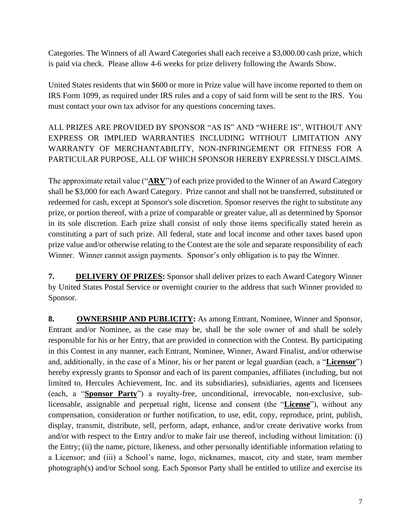Categories. The Winners of all Award Categories shall each receive a \$3,000.00 cash prize, which is paid via check. Please allow 4-6 weeks for prize delivery following the Awards Show.

United States residents that win \$600 or more in Prize value will have income reported to them on IRS Form 1099, as required under IRS rules and a copy of said form will be sent to the IRS. You must contact your own tax advisor for any questions concerning taxes.

ALL PRIZES ARE PROVIDED BY SPONSOR "AS IS" AND "WHERE IS", WITHOUT ANY EXPRESS OR IMPLIED WARRANTIES INCLUDING WITHOUT LIMITATION ANY WARRANTY OF MERCHANTABILITY, NON-INFRINGEMENT OR FITNESS FOR A PARTICULAR PURPOSE, ALL OF WHICH SPONSOR HEREBY EXPRESSLY DISCLAIMS.

The approximate retail value ("**ARV**") of each prize provided to the Winner of an Award Category shall be \$3,000 for each Award Category. Prize cannot and shall not be transferred, substituted or redeemed for cash, except at Sponsor's sole discretion. Sponsor reserves the right to substitute any prize, or portion thereof, with a prize of comparable or greater value, all as determined by Sponsor in its sole discretion. Each prize shall consist of only those items specifically stated herein as constituting a part of such prize. All federal, state and local income and other taxes based upon prize value and/or otherwise relating to the Contest are the sole and separate responsibility of each Winner. Winner cannot assign payments. Sponsor's only obligation is to pay the Winner.

**7. DELIVERY OF PRIZES:** Sponsor shall deliver prizes to each Award Category Winner by United States Postal Service or overnight courier to the address that such Winner provided to Sponsor.

**8. OWNERSHIP AND PUBLICITY:** As among Entrant, Nominee, Winner and Sponsor, Entrant and/or Nominee, as the case may be, shall be the sole owner of and shall be solely responsible for his or her Entry, that are provided in connection with the Contest. By participating in this Contest in any manner, each Entrant, Nominee, Winner, Award Finalist, and/or otherwise and, additionally, in the case of a Minor, his or her parent or legal guardian (each, a "**Licensor**") hereby expressly grants to Sponsor and each of its parent companies, affiliates (including, but not limited to, Hercules Achievement, Inc. and its subsidiaries), subsidiaries, agents and licensees (each, a "**Sponsor Party**") a royalty-free, unconditional, irrevocable, non-exclusive, sublicensable, assignable and perpetual right, license and consent (the "**License**"), without any compensation, consideration or further notification, to use, edit, copy, reproduce, print, publish, display, transmit, distribute, sell, perform, adapt, enhance, and/or create derivative works from and/or with respect to the Entry and/or to make fair use thereof, including without limitation: (i) the Entry; (ii) the name, picture, likeness, and other personally identifiable information relating to a Licensor; and (iii) a School's name, logo, nicknames, mascot, city and state, team member photograph(s) and/or School song. Each Sponsor Party shall be entitled to utilize and exercise its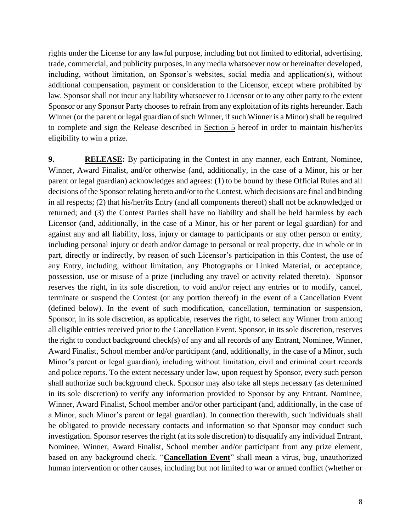rights under the License for any lawful purpose, including but not limited to editorial, advertising, trade, commercial, and publicity purposes, in any media whatsoever now or hereinafter developed, including, without limitation, on Sponsor's websites, social media and application(s), without additional compensation, payment or consideration to the Licensor, except where prohibited by law. Sponsor shall not incur any liability whatsoever to Licensor or to any other party to the extent Sponsor or any Sponsor Party chooses to refrain from any exploitation of its rights hereunder. Each Winner (or the parent or legal guardian of such Winner, if such Winner is a Minor) shall be required to complete and sign the Release described in Section 5 hereof in order to maintain his/her/its eligibility to win a prize.

**9. RELEASE:** By participating in the Contest in any manner, each Entrant, Nominee, Winner, Award Finalist, and/or otherwise (and, additionally, in the case of a Minor, his or her parent or legal guardian) acknowledges and agrees: (1) to be bound by these Official Rules and all decisions of the Sponsor relating hereto and/or to the Contest, which decisions are final and binding in all respects; (2) that his/her/its Entry (and all components thereof) shall not be acknowledged or returned; and (3) the Contest Parties shall have no liability and shall be held harmless by each Licensor (and, additionally, in the case of a Minor, his or her parent or legal guardian) for and against any and all liability, loss, injury or damage to participants or any other person or entity, including personal injury or death and/or damage to personal or real property, due in whole or in part, directly or indirectly, by reason of such Licensor's participation in this Contest, the use of any Entry, including, without limitation, any Photographs or Linked Material, or acceptance, possession, use or misuse of a prize (including any travel or activity related thereto). Sponsor reserves the right, in its sole discretion, to void and/or reject any entries or to modify, cancel, terminate or suspend the Contest (or any portion thereof) in the event of a Cancellation Event (defined below). In the event of such modification, cancellation, termination or suspension, Sponsor, in its sole discretion, as applicable, reserves the right, to select any Winner from among all eligible entries received prior to the Cancellation Event. Sponsor, in its sole discretion, reserves the right to conduct background check(s) of any and all records of any Entrant, Nominee, Winner, Award Finalist, School member and/or participant (and, additionally, in the case of a Minor, such Minor's parent or legal guardian), including without limitation, civil and criminal court records and police reports. To the extent necessary under law, upon request by Sponsor, every such person shall authorize such background check. Sponsor may also take all steps necessary (as determined in its sole discretion) to verify any information provided to Sponsor by any Entrant, Nominee, Winner, Award Finalist, School member and/or other participant (and, additionally, in the case of a Minor, such Minor's parent or legal guardian). In connection therewith, such individuals shall be obligated to provide necessary contacts and information so that Sponsor may conduct such investigation. Sponsor reserves the right (at its sole discretion) to disqualify any individual Entrant, Nominee, Winner, Award Finalist, School member and/or participant from any prize element, based on any background check. "**Cancellation Event**" shall mean a virus, bug, unauthorized human intervention or other causes, including but not limited to war or armed conflict (whether or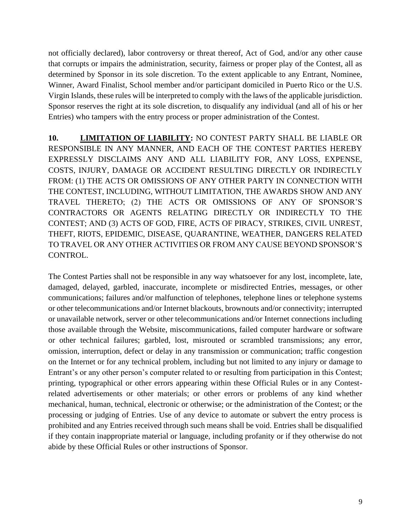not officially declared), labor controversy or threat thereof, Act of God, and/or any other cause that corrupts or impairs the administration, security, fairness or proper play of the Contest, all as determined by Sponsor in its sole discretion. To the extent applicable to any Entrant, Nominee, Winner, Award Finalist, School member and/or participant domiciled in Puerto Rico or the U.S. Virgin Islands, these rules will be interpreted to comply with the laws of the applicable jurisdiction. Sponsor reserves the right at its sole discretion, to disqualify any individual (and all of his or her Entries) who tampers with the entry process or proper administration of the Contest.

**10. LIMITATION OF LIABILITY:** NO CONTEST PARTY SHALL BE LIABLE OR RESPONSIBLE IN ANY MANNER, AND EACH OF THE CONTEST PARTIES HEREBY EXPRESSLY DISCLAIMS ANY AND ALL LIABILITY FOR, ANY LOSS, EXPENSE, COSTS, INJURY, DAMAGE OR ACCIDENT RESULTING DIRECTLY OR INDIRECTLY FROM: (1) THE ACTS OR OMISSIONS OF ANY OTHER PARTY IN CONNECTION WITH THE CONTEST, INCLUDING, WITHOUT LIMITATION, THE AWARDS SHOW AND ANY TRAVEL THERETO; (2) THE ACTS OR OMISSIONS OF ANY OF SPONSOR'S CONTRACTORS OR AGENTS RELATING DIRECTLY OR INDIRECTLY TO THE CONTEST; AND (3) ACTS OF GOD, FIRE, ACTS OF PIRACY, STRIKES, CIVIL UNREST, THEFT, RIOTS, EPIDEMIC, DISEASE, QUARANTINE, WEATHER, DANGERS RELATED TO TRAVEL OR ANY OTHER ACTIVITIES OR FROM ANY CAUSE BEYOND SPONSOR'S CONTROL.

The Contest Parties shall not be responsible in any way whatsoever for any lost, incomplete, late, damaged, delayed, garbled, inaccurate, incomplete or misdirected Entries, messages, or other communications; failures and/or malfunction of telephones, telephone lines or telephone systems or other telecommunications and/or Internet blackouts, brownouts and/or connectivity; interrupted or unavailable network, server or other telecommunications and/or Internet connections including those available through the Website, miscommunications, failed computer hardware or software or other technical failures; garbled, lost, misrouted or scrambled transmissions; any error, omission, interruption, defect or delay in any transmission or communication; traffic congestion on the Internet or for any technical problem, including but not limited to any injury or damage to Entrant's or any other person's computer related to or resulting from participation in this Contest; printing, typographical or other errors appearing within these Official Rules or in any Contestrelated advertisements or other materials; or other errors or problems of any kind whether mechanical, human, technical, electronic or otherwise; or the administration of the Contest; or the processing or judging of Entries. Use of any device to automate or subvert the entry process is prohibited and any Entries received through such means shall be void. Entries shall be disqualified if they contain inappropriate material or language, including profanity or if they otherwise do not abide by these Official Rules or other instructions of Sponsor.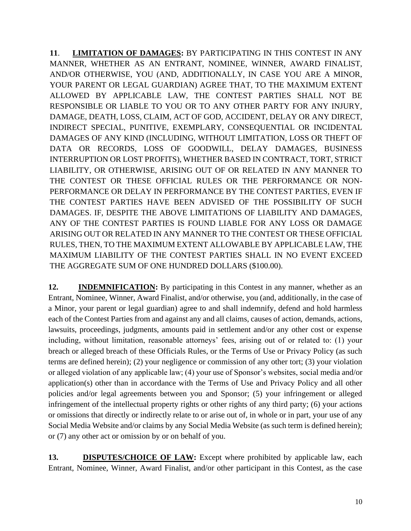**11**. **LIMITATION OF DAMAGES:** BY PARTICIPATING IN THIS CONTEST IN ANY MANNER, WHETHER AS AN ENTRANT, NOMINEE, WINNER, AWARD FINALIST, AND/OR OTHERWISE, YOU (AND, ADDITIONALLY, IN CASE YOU ARE A MINOR, YOUR PARENT OR LEGAL GUARDIAN) AGREE THAT, TO THE MAXIMUM EXTENT ALLOWED BY APPLICABLE LAW, THE CONTEST PARTIES SHALL NOT BE RESPONSIBLE OR LIABLE TO YOU OR TO ANY OTHER PARTY FOR ANY INJURY, DAMAGE, DEATH, LOSS, CLAIM, ACT OF GOD, ACCIDENT, DELAY OR ANY DIRECT, INDIRECT SPECIAL, PUNITIVE, EXEMPLARY, CONSEQUENTIAL OR INCIDENTAL DAMAGES OF ANY KIND (INCLUDING, WITHOUT LIMITATION, LOSS OR THEFT OF DATA OR RECORDS, LOSS OF GOODWILL, DELAY DAMAGES, BUSINESS INTERRUPTION OR LOST PROFITS), WHETHER BASED IN CONTRACT, TORT, STRICT LIABILITY, OR OTHERWISE, ARISING OUT OF OR RELATED IN ANY MANNER TO THE CONTEST OR THESE OFFICIAL RULES OR THE PERFORMANCE OR NON-PERFORMANCE OR DELAY IN PERFORMANCE BY THE CONTEST PARTIES, EVEN IF THE CONTEST PARTIES HAVE BEEN ADVISED OF THE POSSIBILITY OF SUCH DAMAGES. IF, DESPITE THE ABOVE LIMITATIONS OF LIABILITY AND DAMAGES, ANY OF THE CONTEST PARTIES IS FOUND LIABLE FOR ANY LOSS OR DAMAGE ARISING OUT OR RELATED IN ANY MANNER TO THE CONTEST OR THESE OFFICIAL RULES, THEN, TO THE MAXIMUM EXTENT ALLOWABLE BY APPLICABLE LAW, THE MAXIMUM LIABILITY OF THE CONTEST PARTIES SHALL IN NO EVENT EXCEED THE AGGREGATE SUM OF ONE HUNDRED DOLLARS (\$100.00).

**12. INDEMNIFICATION:** By participating in this Contest in any manner, whether as an Entrant, Nominee, Winner, Award Finalist, and/or otherwise, you (and, additionally, in the case of a Minor, your parent or legal guardian) agree to and shall indemnify, defend and hold harmless each of the Contest Parties from and against any and all claims, causes of action, demands, actions, lawsuits, proceedings, judgments, amounts paid in settlement and/or any other cost or expense including, without limitation, reasonable attorneys' fees, arising out of or related to: (1) your breach or alleged breach of these Officials Rules, or the Terms of Use or Privacy Policy (as such terms are defined herein); (2) your negligence or commission of any other tort; (3) your violation or alleged violation of any applicable law; (4) your use of Sponsor's websites, social media and/or application(s) other than in accordance with the Terms of Use and Privacy Policy and all other policies and/or legal agreements between you and Sponsor; (5) your infringement or alleged infringement of the intellectual property rights or other rights of any third party; (6) your actions or omissions that directly or indirectly relate to or arise out of, in whole or in part, your use of any Social Media Website and/or claims by any Social Media Website (as such term is defined herein); or (7) any other act or omission by or on behalf of you.

**13. DISPUTES/CHOICE OF LAW:** Except where prohibited by applicable law, each Entrant, Nominee, Winner, Award Finalist, and/or other participant in this Contest, as the case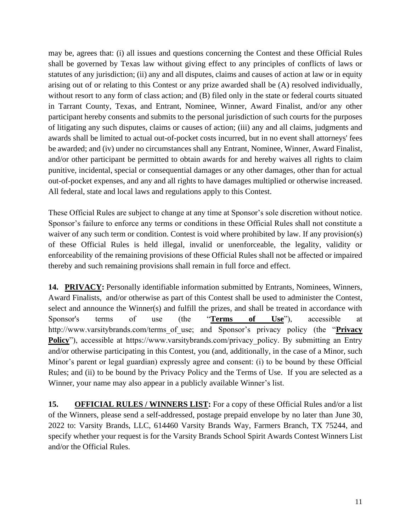may be, agrees that: (i) all issues and questions concerning the Contest and these Official Rules shall be governed by Texas law without giving effect to any principles of conflicts of laws or statutes of any jurisdiction; (ii) any and all disputes, claims and causes of action at law or in equity arising out of or relating to this Contest or any prize awarded shall be (A) resolved individually, without resort to any form of class action; and (B) filed only in the state or federal courts situated in Tarrant County, Texas, and Entrant, Nominee, Winner, Award Finalist, and/or any other participant hereby consents and submits to the personal jurisdiction of such courts for the purposes of litigating any such disputes, claims or causes of action; (iii) any and all claims, judgments and awards shall be limited to actual out-of-pocket costs incurred, but in no event shall attorneys' fees be awarded; and (iv) under no circumstances shall any Entrant, Nominee, Winner, Award Finalist, and/or other participant be permitted to obtain awards for and hereby waives all rights to claim punitive, incidental, special or consequential damages or any other damages, other than for actual out-of-pocket expenses, and any and all rights to have damages multiplied or otherwise increased. All federal, state and local laws and regulations apply to this Contest.

These Official Rules are subject to change at any time at Sponsor's sole discretion without notice. Sponsor's failure to enforce any terms or conditions in these Official Rules shall not constitute a waiver of any such term or condition. Contest is void where prohibited by law. If any provision(s) of these Official Rules is held illegal, invalid or unenforceable, the legality, validity or enforceability of the remaining provisions of these Official Rules shall not be affected or impaired thereby and such remaining provisions shall remain in full force and effect.

14. **PRIVACY:** Personally identifiable information submitted by Entrants, Nominees, Winners, Award Finalists, and/or otherwise as part of this Contest shall be used to administer the Contest, select and announce the Winner(s) and fulfill the prizes, and shall be treated in accordance with Sponsor's terms of use (the "**Terms of Use**"), accessible at http://www.varsitybrands.com/terms\_of\_use; and Sponsor's privacy policy (the "**Privacy Policy**"), accessible at https://www.varsitybrands.com/privacy\_policy. By submitting an Entry and/or otherwise participating in this Contest, you (and, additionally, in the case of a Minor, such Minor's parent or legal guardian) expressly agree and consent: (i) to be bound by these Official Rules; and (ii) to be bound by the Privacy Policy and the Terms of Use. If you are selected as a Winner, your name may also appear in a publicly available Winner's list.

**15. OFFICIAL RULES / WINNERS LIST:** For a copy of these Official Rules and/or a list of the Winners, please send a self-addressed, postage prepaid envelope by no later than June 30, 2022 to: Varsity Brands, LLC, 614460 Varsity Brands Way, Farmers Branch, TX 75244, and specify whether your request is for the Varsity Brands School Spirit Awards Contest Winners List and/or the Official Rules.